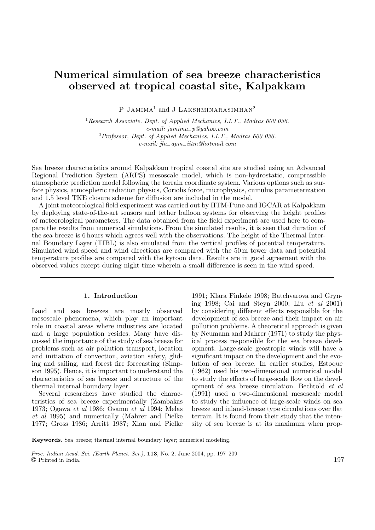# **Numerical simulation of sea breeze characteristics observed at tropical coastal site, Kalpakkam**

P Jamima<sup>1</sup> and J Lakshminarasimhan<sup>2</sup>

<sup>1</sup>Research Associate, Dept. of Applied Mechanics, I.I.T., Madras 600 036. e-mail: jamima−p@yahoo.com <sup>2</sup>Professor, Dept. of Applied Mechanics, I.I.T., Madras 600 036. e-mail: jln−apm−iitm@hotmail.com

Sea breeze characteristics around Kalpakkam tropical coastal site are studied using an Advanced Regional Prediction System (ARPS) mesoscale model, which is non-hydrostatic, compressible atmospheric prediction model following the terrain coordinate system. Various options such as surface physics, atmospheric radiation physics, Coriolis force, microphysics, cumulus parameterization and 1.5 level TKE closure scheme for diffusion are included in the model.

A joint meteorological field experiment was carried out by IITM-Pune and IGCAR at Kalpakkam by deploying state-of-the-art sensors and tether balloon systems for observing the height profiles of meteorological parameters. The data obtained from the field experiment are used here to compare the results from numerical simulations. From the simulated results, it is seen that duration of the sea breeze is 6 hours which agrees well with the observations. The height of the Thermal Internal Boundary Layer (TIBL) is also simulated from the vertical profiles of potential temperature. Simulated wind speed and wind directions are compared with the 50 m tower data and potential temperature profiles are compared with the kytoon data. Results are in good agreement with the observed values except during night time wherein a small difference is seen in the wind speed.

### **1. Introduction**

Land and sea breezes are mostly observed mesoscale phenomena, which play an important role in coastal areas where industries are located and a large population resides. Many have discussed the importance of the study of sea breeze for problems such as air pollution transport, location and initiation of convection, aviation safety, gliding and sailing, and forest fire forecasting (Simpson 1995). Hence, it is important to understand the characteristics of sea breeze and structure of the thermal internal boundary layer.

Several researchers have studied the characteristics of sea breeze experimentally (Zambakas 1973; Ogawa et al 1986; Osamu et al 1994; Melas et al 1995) and numerically (Mahrer and Pielke 1977; Gross 1986; Arritt 1987; Xian and Pielke 1991; Klara Finkele 1998; Batchvarova and Gryning 1998; Cai and Steyn 2000; Liu et al 2001) by considering different effects responsible for the development of sea breeze and their impact on air pollution problems. A theoretical approach is given by Neumann and Mahrer (1971) to study the physical process responsible for the sea breeze development. Large-scale geostropic winds will have a significant impact on the development and the evolution of sea breeze. In earlier studies, Estoque (1962) used his two-dimensional numerical model to study the effects of large-scale flow on the development of sea breeze circulation. Bechtold et al (1991) used a two-dimensional mesoscale model to study the influence of large-scale winds on sea breeze and inland-breeze type circulations over flat terrain. It is found from their study that the intensity of sea breeze is at its maximum when prop-

**Keywords.** Sea breeze; thermal internal boundary layer; numerical modeling.

Proc. Indian Acad. Sci. (Earth Planet. Sci.), **<sup>113</sup>**, No. 2, June 2004, pp. 197–209 © Printed in India. 197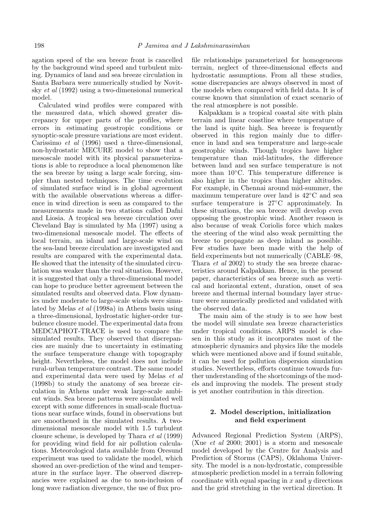agation speed of the sea breeze front is cancelled by the background wind speed and turbulent mixing. Dynamics of land and sea breeze circulation in Santa Barbara were numerically studied by Novitsky et al (1992) using a two-dimensional numerical model.

Calculated wind profiles were compared with the measured data, which showed greater discrepancy for upper parts of the profiles, where errors in estimating geostropic conditions or synoptic-scale pressure variations are most evident. Carissimo et al (1996) used a three-dimensional, non-hydrostatic MECURE model to show that a mesoscale model with its physical parameterizations is able to reproduce a local phenomenon like the sea breeze by using a large scale forcing, simpler than nested techniques. The time evolution of simulated surface wind is in global agreement with the available observations whereas a difference in wind direction is seen as compared to the measurements made in two stations called Dafni and Liosia. A tropical sea breeze circulation over Cleveland Bay is simulated by Ma (1997) using a two-dimensional mesoscale model. The effects of local terrain, an island and large-scale wind on the sea-land breeze circulation are investigated and results are compared with the experimental data. He showed that the intensity of the simulated circulation was weaker than the real situation. However, it is suggested that only a three-dimensional model can hope to produce better agreement between the simulated results and observed data. Flow dynamics under moderate to large-scale winds were simulated by Melas et al (1998a) in Athens basin using a three-dimensional, hydrostatic higher-order turbulence closure model. The experimental data from MEDCAPHOT-TRACE is used to compare the simulated results. They observed that discrepancies are mainly due to uncertainty in estimating the surface temperature change with topography height. Nevertheless, the model does not include rural-urban temperature contrast. The same model and experimental data were used by Melas et al (1998b) to study the anatomy of sea breeze circulation in Athens under weak large-scale ambient winds. Sea breeze patterns were simulated well except with some differences in small-scale fluctuations near surface winds, found in observations but are smoothened in the simulated results. A twodimensional mesoscale model with 1.5 turbulent closure scheme, is developed by Thara et al (1999) for providing wind field for air pollution calculations. Meteorological data available from Oresund experiment was used to validate the model, which showed an over-prediction of the wind and temperature in the surface layer. The observed discrepancies were explained as due to non-inclusion of long wave radiation divergence, the use of flux profile relationships parameterized for homogeneous terrain, neglect of three-dimensional effects and hydrostatic assumptions. From all these studies, some discrepancies are always observed in most of the models when compared with field data. It is of course known that simulation of exact scenario of the real atmosphere is not possible.

Kalpakkam is a tropical coastal site with plain terrain and linear coastline where temperature of the land is quite high. Sea breeze is frequently observed in this region mainly due to difference in land and sea temperature and large-scale geostrophic winds. Though tropics have higher temperature than mid-latitudes, the difference between land and sea surface temperature is not more than 10◦C. This temperature difference is also higher in the tropics than higher altitudes. For example, in Chennai around mid-summer, the maximum temperature over land is 42◦C and sea surface temperature is 27°C approximately. In these situations, the sea breeze will develop even opposing the geostrophic wind. Another reason is also because of weak Coriolis force which makes the steering of the wind also weak permitting the breeze to propagate as deep inland as possible. Few studies have been made with the help of field experiments but not numerically (CABLE–98, Thara et al 2002) to study the sea breeze characteristics around Kalpakkam. Hence, in the present paper, characteristics of sea breeze such as vertical and horizontal extent, duration, onset of sea breeze and thermal internal boundary layer structure were numerically predicted and validated with the observed data.

The main aim of the study is to see how best the model will simulate sea breeze characteristics under tropical conditions. ARPS model is chosen in this study as it incorporates most of the atmospheric dynamics and physics like the models which were mentioned above and if found suitable, it can be used for pollution dispersion simulation studies. Nevertheless, efforts continue towards further understanding of the shortcomings of the models and improving the models. The present study is yet another contribution in this direction.

### **2. Model description, initialization and field experiment**

Advanced Regional Prediction System (ARPS), (Xue et al 2000; 2001) is a storm and mesoscale model developed by the Centre for Analysis and Prediction of Storms (CAPS), Oklahoma University. The model is a non-hydrostatic, compressible atmospheric prediction model in a terrain following coordinate with equal spacing in  $x$  and  $y$  directions and the grid stretching in the vertical direction. It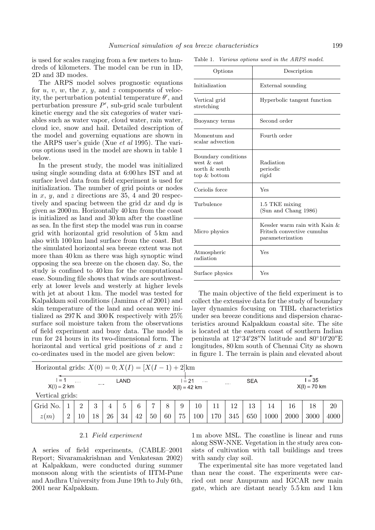is used for scales ranging from a few meters to hundreds of kilometers. The model can be run in 1D, 2D and 3D modes.

The ARPS model solves prognostic equations for  $u, v, w$ , the  $x, y$ , and  $z$  components of velocity, the perturbation potential temperature  $\theta'$ , and perturbation pressure  $P'$ , sub-grid scale turbulent kinetic energy and the six categories of water variables such as water vapor, cloud water, rain water, cloud ice, snow and hail. Detailed description of the model and governing equations are shown in the ARPS user's guide (Xue et al 1995). The various options used in the model are shown in table 1 below.

In the present study, the model was initialized using single sounding data at 6:00 hrs IST and at surface level data from field experiment is used for initialization. The number of grid points or nodes in x, y, and z directions are 35, 4 and 20 respectively and spacing between the grid  $dx$  and  $dy$  is given as 2000 m. Horizontally 40 km from the coast is initialized as land and 30 km after the coastline as sea. In the first step the model was run in coarse grid with horizontal grid resolution of 5 km and also with 100 km land surface from the coast. But the simulated horizontal sea breeze extent was not more than 40 km as there was high synoptic wind opposing the sea breeze on the chosen day. So, the study is confined to 40 km for the computational ease. Sounding file shows that winds are southwesterly at lower levels and westerly at higher levels with jet at about 1 km. The model was tested for Kalpakkam soil conditions (Jamima et al 2001) and skin temperature of the land and ocean were initialized as 297 K and 300 K respectively with 25% surface soil moisture taken from the observations of field experiment and buoy data. The model is run for 24 hours in its two-dimensional form. The horizontal and vertical grid positions of  $x$  and  $z$ co-ordinates used in the model are given below:

| Options                                                                   | Description                                                                        |  |  |  |  |  |
|---------------------------------------------------------------------------|------------------------------------------------------------------------------------|--|--|--|--|--|
| Initialization                                                            | External sounding                                                                  |  |  |  |  |  |
| Vertical grid<br>stretching                                               | Hyperbolic tangent function                                                        |  |  |  |  |  |
| Buoyancy terms                                                            | Second order                                                                       |  |  |  |  |  |
| Momentum and<br>scalar advection                                          | Fourth order                                                                       |  |  |  |  |  |
| Boundary conditions<br>west $\&$ east<br>north $\&$ south<br>top & bottom | Radiation<br>periodic<br>rigid                                                     |  |  |  |  |  |
| Coriolis force                                                            | Yes                                                                                |  |  |  |  |  |
| Turbulence                                                                | 1.5 TKE mixing<br>(Sun and Chang 1986)                                             |  |  |  |  |  |
| Micro physics                                                             | Kessler warm rain with Kain $\&$<br>Fritsch convective cumulus<br>parameterization |  |  |  |  |  |
| Atmospheric<br>radiation                                                  | Yes                                                                                |  |  |  |  |  |
| Surface physics                                                           | Yes                                                                                |  |  |  |  |  |
|                                                                           |                                                                                    |  |  |  |  |  |

The main objective of the field experiment is to collect the extensive data for the study of boundary layer dynamics focusing on TIBL characteristics under sea breeze conditions and dispersion characteristics around Kalpakkam coastal site. The site is located at the eastern coast of southern Indian peninsula at  $12°34'28''$ N latitude and  $80°10'20''E$ longitudes, 80 km south of Chennai City as shown in figure 1. The terrain is plain and elevated about

| Horizontal grids: $X(0) = 0; X(I) = [X(I - 1) + 2]$ km |          |          |          |    |              |    |    |                                                             |    |        |     |     |            |                          |      |      |      |
|--------------------------------------------------------|----------|----------|----------|----|--------------|----|----|-------------------------------------------------------------|----|--------|-----|-----|------------|--------------------------|------|------|------|
| l = 1<br>$X(I) = 2 km$                                 |          | 1.111    | LAND<br> |    |              |    |    | $I = 21$<br>$\cdots$<br>$\sim$ and $\sim$<br>$X(I) = 42$ km |    |        |     |     | <b>SEA</b> | $= 35$<br>$X(I) = 70$ km |      |      |      |
| Vertical grids:                                        |          |          |          |    |              |    |    |                                                             |    |        |     |     |            |                          |      |      |      |
| Grid No.                                               |          | $\Omega$ | 3        | 4  | $\mathbf{G}$ | 6  |    | 8                                                           | 9  | $10\,$ | 11  | 12  | 13         | 14                       | 16   | 18   | 20   |
| z(m)                                                   | $\Omega$ | 10       | 18       | 26 | 34           | 42 | 50 | 60                                                          | 75 | 100    | 170 | 345 | 650        | $1000\,$                 | 2000 | 3000 | 4000 |

### 2.1 Field experiment

A series of field experiments, (CABLE–2001 Report; Sivaramakrishnan and Venkatesan 2002) at Kalpakkam, were conducted during summer monsoon along with the scientists of IITM-Pune and Andhra University from June 19th to July 6th, 2001 near Kalpakkam.

1 m above MSL. The coastline is linear and runs along SSW-NNE. Vegetation in the study area consists of cultivation with tall buildings and trees with sandy clay soil.

The experimental site has more vegetated land than near the coast. The experiments were carried out near Anupuram and IGCAR new main gate, which are distant nearly 5.5 km and 1 km

Table 1. Various options used in the ARPS model.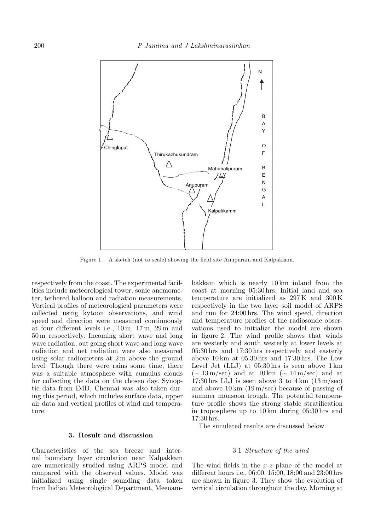

Figure 1. A sketch (not to scale) showing the field site Anupuram and Kalpakkam.

respectively from the coast. The experimental facilities include meteorological tower, sonic anemometer, tethered balloon and radiation measurements. Vertical profiles of meteorological parameters were collected using kytoon observations, and wind speed and direction were measured continuously at four different levels i.e., 10 m, 17 m, 29 m and 50 m respectively. Incoming short wave and long wave radiation, out going short wave and long wave radiation and net radiation were also measured using solar radiometers at 2 m above the ground level. Though there were rains some time, there was a suitable atmosphere with cumulus clouds for collecting the data on the chosen day. Synoptic data from IMD, Chennai was also taken during this period, which includes surface data, upper air data and vertical profiles of wind and temperature.

### **3. Result and discussion**

Characteristics of the sea breeze and internal boundary layer circulation near Kalpakkam are numerically studied using ARPS model and compared with the observed values. Model was initialized using single sounding data taken from Indian Meteorological Department, Meenambakkam which is nearly 10 km inland from the coast at morning 05:30 hrs. Initial land and sea temperature are initialized as 297 K and 300 K respectively in the two layer soil model of ARPS and run for 24:00 hrs. The wind speed, direction and temperature profiles of the radiosonde observations used to initialize the model are shown in figure 2. The wind profile shows that winds are westerly and south westerly at lower levels at 05:30 hrs and 17:30 hrs respectively and easterly above 10 km at 05:30 hrs and 17:30 hrs. The Low Level Jet (LLJ) at 05:30 hrs is seen above 1 km (<sup>∼</sup> 13 m/sec) and at 10 km (<sup>∼</sup> 14 m/sec) and at 17:30 hrs LLJ is seen above 3 to  $4 \text{ km}$  (13 m/sec) and above  $10 \text{ km } (19 \text{ m/sec})$  because of passing of summer monsoon trough. The potential temperature profile shows the strong stable stratification in troposphere up to 10 km during 05:30 hrs and 17:30 hrs.

The simulated results are discussed below.

### 3.1 Structure of the wind

The wind fields in the <sup>x</sup>-<sup>z</sup> plane of the model at different hours i.e., 06:00, 15:00, 18:00 and 23:00 hrs are shown in figure 3. They show the evolution of vertical circulation throughout the day. Morning at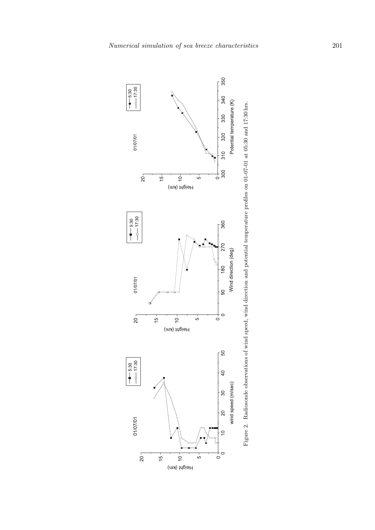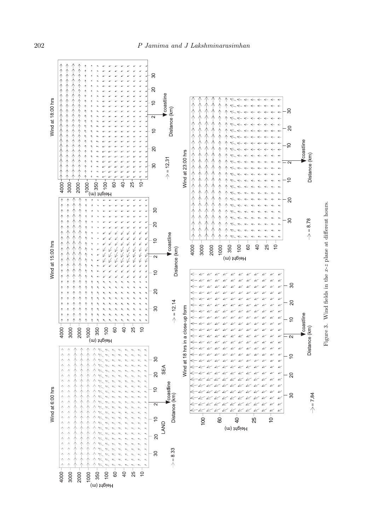

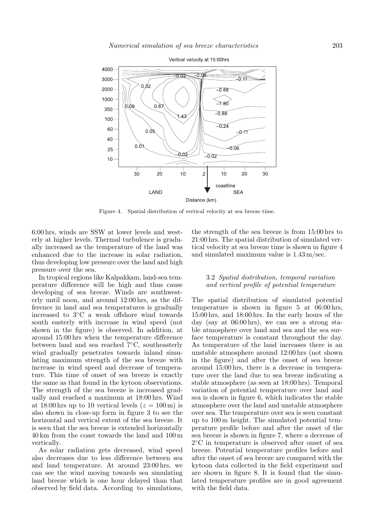

Figure 4. Spatial distribution of vertical velocity at sea breeze time.

6:00 hrs, winds are SSW at lower levels and westerly at higher levels. Thermal turbulence is gradually increased as the temperature of the land was enhanced due to the increase in solar radiation, thus developing low pressure over the land and high pressure over the sea.

In tropical regions like Kalpakkam, land-sea temperature difference will be high and thus cause developing of sea breeze. Winds are southwesterly until noon, and around 12:00 hrs, as the difference in land and sea temperatures is gradually increased to 3◦C a weak offshore wind towards south easterly with increase in wind speed (not shown in the figure) is observed. In addition, at around 15:00 hrs when the temperature difference between land and sea reached 7◦C, southeasterly wind gradually penetrates towards inland simulating maximum strength of the sea breeze with increase in wind speed and decrease of temperature. This time of onset of sea breeze is exactly the same as that found in the kytoon observations. The strength of the sea breeze is increased gradually and reached a maximum at 18:00 hrs. Wind at 18:00 hrs up to 10 vertical levels  $(z = 100 \,\mathrm{m})$  is also shown in close-up form in figure 3 to see the horizontal and vertical extent of the sea breeze. It is seen that the sea breeze is extended horizontally 40 km from the coast towards the land and 100 m vertically.

As solar radiation gets decreased, wind speed also decreases due to less difference between sea and land temperature. At around 23:00 hrs, we can see the wind moving towards sea simulating land breeze which is one hour delayed than that observed by field data. According to simulations, the strength of the sea breeze is from 15:00 hrs to 21:00 hrs. The spatial distribution of simulated vertical velocity at sea breeze time is shown in figure 4 and simulated maximum value is 1.43 m/sec.

### 3.2 Spatial distribution, temporal variation and vertical profile of potential temperature

The spatial distribution of simulated potential temperature is shown in figure 5 at 06:00 hrs, 15:00 hrs, and 18:00 hrs. In the early hours of the day (say at 06:00 hrs), we can see a strong stable atmosphere over land and sea and the sea surface temperature is constant throughout the day. As temperature of the land increases there is an unstable atmosphere around 12:00 hrs (not shown in the figure) and after the onset of sea breeze around 15:00 hrs, there is a decrease in temperature over the land due to sea breeze indicating a stable atmosphere (as seen at 18:00 hrs). Temporal variation of potential temperature over land and sea is shown in figure 6, which indicates the stable atmosphere over the land and unstable atmosphere over sea. The temperature over sea is seen constant up to 100 m height. The simulated potential temperature profile before and after the onset of the sea breeze is shown in figure 7, where a decrease of 2◦C in temperature is observed after onset of sea breeze. Potential temperature profiles before and after the onset of sea breeze are compared with the kytoon data collected in the field experiment and are shown in figure 8. It is found that the simulated temperature profiles are in good agreement with the field data.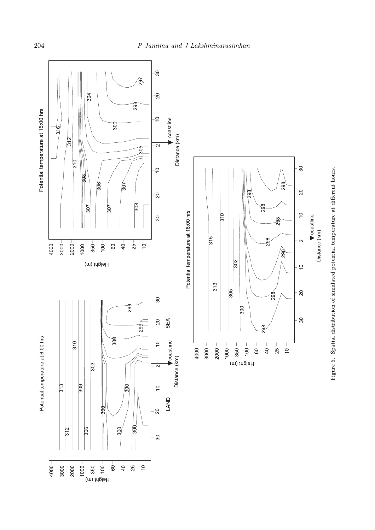# 204 P Jamima and J Lakshminarasimhan



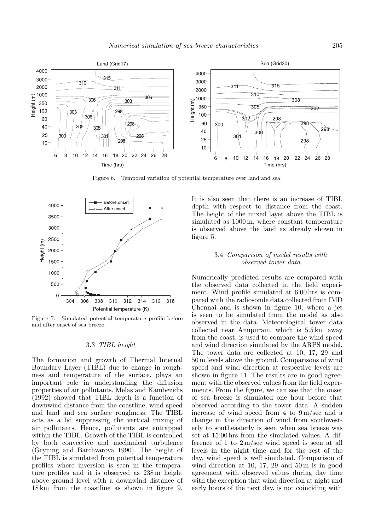

Figure 6. Temporal variation of potential temperature over land and sea.



Figure 7. Simulated potential temperature profile before and after onset of sea breeze.

### 3.3 TIBL height

The formation and growth of Thermal Internal Boundary Layer (TIBL) due to change in roughness and temperature of the surface, plays an important role in understanding the diffusion properties of air pollutants. Melas and Kambezidis (1992) showed that TIBL depth is a function of downwind distance from the coastline, wind speed and land and sea surface roughness. The TIBL acts as a lid suppressing the vertical mixing of air pollutants. Hence, pollutants are entrapped within the TIBL. Growth of the TIBL is controlled by both convective and mechanical turbulence (Gryning and Batchvarova 1990). The height of the TIBL is simulated from potential temperature profiles where inversion is seen in the temperature profiles and it is observed as 238 m height above ground level with a downwind distance of 18 km from the coastline as shown in figure 9.

It is also seen that there is an increase of TIBL depth with respect to distance from the coast. The height of the mixed layer above the TIBL is simulated as 1000 m, where constant temperature is observed above the land as already shown in figure 5.

### 3.4 Comparison of model results with observed tower data

Numerically predicted results are compared with the observed data collected in the field experiment. Wind profile simulated at 6:00 hrs is compared with the radiosonde data collected from IMD Chennai and is shown in figure 10, where a jet is seen to be simulated from the model as also observed in the data. Meteorological tower data collected near Anupuram, which is 5.5 km away from the coast, is used to compare the wind speed and wind direction simulated by the ARPS model. The tower data are collected at 10, 17, 29 and 50 m levels above the ground. Comparisons of wind speed and wind direction at respective levels are shown in figure 11. The results are in good agreement with the observed values from the field experiments. From the figure, we can see that the onset of sea breeze is simulated one hour before that observed according to the tower data. A sudden increase of wind speed from 4 to  $9 \text{ m/sec}$  and a change in the direction of wind from southwesterly to southeasterly is seen when sea breeze was set at 15:00 hrs from the simulated values. A difference of 1 to  $2 \text{ m/sec}$  wind speed is seen at all levels in the night time and for the rest of the day, wind speed is well simulated. Comparison of wind direction at 10, 17, 29 and  $50 \,\mathrm{m}$  is in good agreement with observed values during day time with the exception that wind direction at night and early hours of the next day, is not coinciding with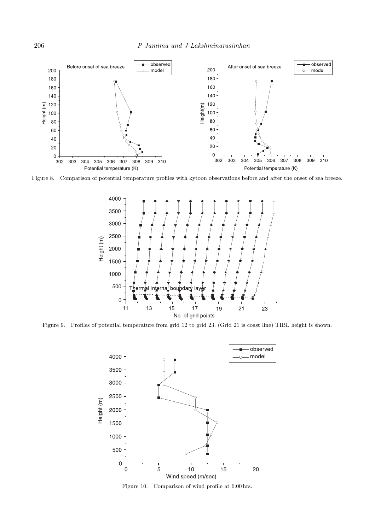- observed - observed Before onset of sea breeze After onset of sea breeze – model model Ő Height (m) Height(m)  $\overline{20}$  $\mathbf 0$  $\overline{0}$ Potential temperature (K) Potential temperature (K)

Figure 8. Comparison of potential temperature profiles with kytoon observations before and after the onset of sea breeze.



Figure 9. Profiles of potential temperature from grid 12 to grid 23. (Grid 21 is coast line) TIBL height is shown.



Figure 10. Comparison of wind profile at 6:00 hrs.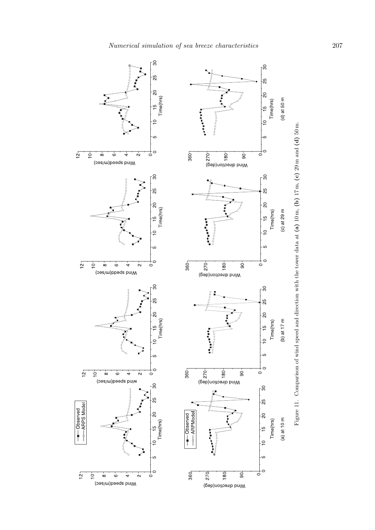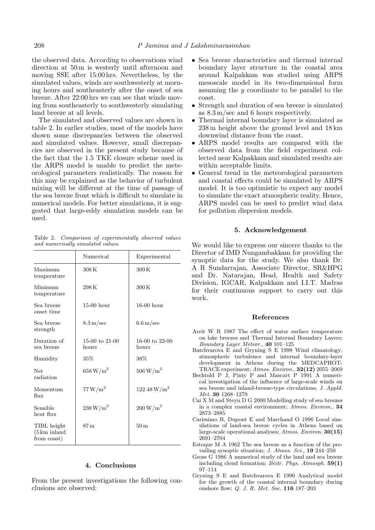the observed data. According to observations wind direction at 50 m is westerly until afternoon and moving SSE after 15:00 hrs. Nevertheless, by the simulated values, winds are southwesterly at morning hours and southeasterly after the onset of sea breeze. After 22:00 hrs we can see that winds moving from southeasterly to southwesterly simulating land breeze at all levels.

The simulated and observed values are shown in table 2. In earlier studies, most of the models have shown some discrepancies between the observed and simulated values. However, small discrepancies are observed in the present study because of the fact that the 1.5 TKE closure scheme used in the ARPS model is unable to predict the meteorological parameters realistically. The reason for this may be explained as the behavior of turbulent mixing will be different at the time of passage of the sea breeze front which is difficult to simulate in numerical models. For better simulations, it is suggested that large-eddy simulation models can be used.

Table 2. Comparison of experimentally observed values and numerically simulated values.

|                                                        | Numerical               | Experimental              |
|--------------------------------------------------------|-------------------------|---------------------------|
| Maximum<br>temperature                                 | 308 K                   | 309K                      |
| Minimum<br>temperature                                 | 298K                    | 300K                      |
| Sea breeze<br>onset time                               | $15-00$ hour            | $16-00$ hour              |
| Sea breeze<br>strength                                 | $8.3 \,\mathrm{m/sec}$  | $6.6 \,\mathrm{m/sec}$    |
| Duration of<br>sea breeze                              | 15-00 to 21-00<br>hours | $16-00$ to 22-00<br>hours |
| Humidity                                               | 35%                     | 38%                       |
| Net.<br>radiation                                      | $658\,\mathrm{W/m^2}$   | $506\,\mathrm{W/m^2}$     |
| Momentum<br>flux                                       | 77 W/m <sup>2</sup>     | $122.48\,\mathrm{W/m}^2$  |
| Sensible<br>heat flux                                  | $238\,\mathrm{W/m^2}$   | $200\,\mathrm{W/m^2}$     |
| TIBL height<br>$(5 \mathrm{km})$ inland<br>from coast) | 87 <sub>m</sub>         | 50 <sub>m</sub>           |

## **4. Conclusions**

From the present investigations the following conclusions are observed:

- Sea breeze characteristics and thermal internal boundary layer structure in the coastal area around Kalpakkam was studied using ARPS mesoscale model in its two-dimensional form assuming the <sup>y</sup> coordinate to be parallel to the coast.
- Strength and duration of sea breeze is simulated as 8.3 m/sec and 6 hours respectively.
- • Thermal internal boundary layer is simulated as 238 m height above the ground level and 18 km downwind distance from the coast.
- ARPS model results are compared with the observed data from the field experiment collected near Kalpakkam and simulated results are within acceptable limits.
- General trend in the meteorological parameters and coastal effects could be simulated by ARPS model. It is too optimistic to expect any model to simulate the exact atmospheric reality. Hence, ARPS model can be used to predict wind data for pollution dispersion models.

### **5. Acknowledgement**

We would like to express our sincere thanks to the Director of IMD Nungambakkam for providing the synoptic data for the study. We also thank Dr. A R Sundarrajan, Associate Director, SR&HPG and Dr. Natarajan, Head, Health and Safety Division, IGCAR, Kalpakkam and I.I.T. Madras for their continuous support to carry out this work.

#### **References**

- Arrit W R 1987 The effect of water surface temperature on lake breezes and Thermal Internal Boundary Layers; Boundary Layer Meteor., **<sup>40</sup>** 101–125
- Batchvarova E and Gryning S E 1998 Wind climatology, atmospheric turbulence and internal boundary-layer development in Athens during the MEDCAPHOT-TRACE experiment; Atmos. Environ., **32(12)** 2055–2069
- Bechtold P J, Pinty P and Mascart P 1991 A numerical investigation of the influence of large-scale winds on sea breeze and inland-breeze-type circulations; J. Appld. Met. **<sup>30</sup>** 1268–1279
- Cai X M and Steyn D G 2000 Modelling study of sea breezes in a complex coastal environment; Atmos. Environ., **<sup>34</sup>** 2873–2885
- Carissimo B, Dupont E and Marchand O 1996 Local simulations of land-sea breeze cycles in Athens based on large-scale operational analyses; Atmos. Environ. **30(15)** 2691–2704
- Estoque M A 1962 The sea breeze as a function of the prevailing synoptic situation; J. Atmos. Sci., **<sup>19</sup>** 244–250
- Gross G 1986 A numerical study of the land and sea breeze including cloud formation; Beitr. Phys. Atmosph. **59(1)** 97–114
- Gryning S E and Batchvarova E 1990 Analytical model for the growth of the coastal internal boundary during onshore flow; Q. J. R. Met. Soc. **<sup>116</sup>** 187–203